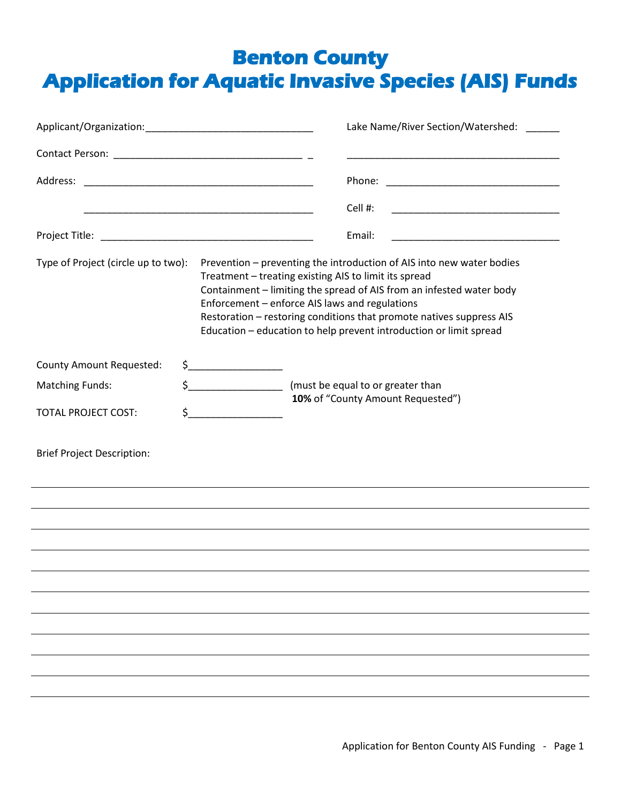## **Benton County Application for Aquatic Invasive Species (AIS) Funds**

|                                     |                                                                                                                                                                                                                                                                                                                                                                                          | Lake Name/River Section/Watershed:                                                                                                                                                                                                                                                          |  |  |  |  |
|-------------------------------------|------------------------------------------------------------------------------------------------------------------------------------------------------------------------------------------------------------------------------------------------------------------------------------------------------------------------------------------------------------------------------------------|---------------------------------------------------------------------------------------------------------------------------------------------------------------------------------------------------------------------------------------------------------------------------------------------|--|--|--|--|
|                                     |                                                                                                                                                                                                                                                                                                                                                                                          | <u> 1989 - Johann John Stoff, deutscher Stoffen und der Stoffen und der Stoffen und der Stoffen und der Stoffen u</u>                                                                                                                                                                       |  |  |  |  |
|                                     |                                                                                                                                                                                                                                                                                                                                                                                          |                                                                                                                                                                                                                                                                                             |  |  |  |  |
|                                     |                                                                                                                                                                                                                                                                                                                                                                                          | Cell #:                                                                                                                                                                                                                                                                                     |  |  |  |  |
|                                     |                                                                                                                                                                                                                                                                                                                                                                                          | Email:                                                                                                                                                                                                                                                                                      |  |  |  |  |
| Type of Project (circle up to two): | Treatment - treating existing AIS to limit its spread<br>Enforcement - enforce AIS laws and regulations                                                                                                                                                                                                                                                                                  | Prevention - preventing the introduction of AIS into new water bodies<br>Containment - limiting the spread of AIS from an infested water body<br>Restoration - restoring conditions that promote natives suppress AIS<br>Education - education to help prevent introduction or limit spread |  |  |  |  |
| <b>County Amount Requested:</b>     | $\begin{picture}(20,10) \put(0,0){\line(1,0){10}} \put(15,0){\line(1,0){10}} \put(15,0){\line(1,0){10}} \put(15,0){\line(1,0){10}} \put(15,0){\line(1,0){10}} \put(15,0){\line(1,0){10}} \put(15,0){\line(1,0){10}} \put(15,0){\line(1,0){10}} \put(15,0){\line(1,0){10}} \put(15,0){\line(1,0){10}} \put(15,0){\line(1,0){10}} \put(15,0){\line(1$                                      |                                                                                                                                                                                                                                                                                             |  |  |  |  |
| <b>Matching Funds:</b>              | \$_______________________ (must be equal to or greater than                                                                                                                                                                                                                                                                                                                              |                                                                                                                                                                                                                                                                                             |  |  |  |  |
| <b>TOTAL PROJECT COST:</b>          | 10% of "County Amount Requested")<br>$\begin{picture}(20,10) \put(0,0){\line(1,0){10}} \put(15,0){\line(1,0){10}} \put(15,0){\line(1,0){10}} \put(15,0){\line(1,0){10}} \put(15,0){\line(1,0){10}} \put(15,0){\line(1,0){10}} \put(15,0){\line(1,0){10}} \put(15,0){\line(1,0){10}} \put(15,0){\line(1,0){10}} \put(15,0){\line(1,0){10}} \put(15,0){\line(1,0){10}} \put(15,0){\line(1$ |                                                                                                                                                                                                                                                                                             |  |  |  |  |
| <b>Brief Project Description:</b>   |                                                                                                                                                                                                                                                                                                                                                                                          |                                                                                                                                                                                                                                                                                             |  |  |  |  |
|                                     |                                                                                                                                                                                                                                                                                                                                                                                          |                                                                                                                                                                                                                                                                                             |  |  |  |  |
|                                     |                                                                                                                                                                                                                                                                                                                                                                                          |                                                                                                                                                                                                                                                                                             |  |  |  |  |
|                                     |                                                                                                                                                                                                                                                                                                                                                                                          |                                                                                                                                                                                                                                                                                             |  |  |  |  |
|                                     |                                                                                                                                                                                                                                                                                                                                                                                          |                                                                                                                                                                                                                                                                                             |  |  |  |  |
|                                     |                                                                                                                                                                                                                                                                                                                                                                                          |                                                                                                                                                                                                                                                                                             |  |  |  |  |
|                                     |                                                                                                                                                                                                                                                                                                                                                                                          |                                                                                                                                                                                                                                                                                             |  |  |  |  |
|                                     |                                                                                                                                                                                                                                                                                                                                                                                          |                                                                                                                                                                                                                                                                                             |  |  |  |  |
|                                     |                                                                                                                                                                                                                                                                                                                                                                                          |                                                                                                                                                                                                                                                                                             |  |  |  |  |
|                                     |                                                                                                                                                                                                                                                                                                                                                                                          |                                                                                                                                                                                                                                                                                             |  |  |  |  |
|                                     |                                                                                                                                                                                                                                                                                                                                                                                          |                                                                                                                                                                                                                                                                                             |  |  |  |  |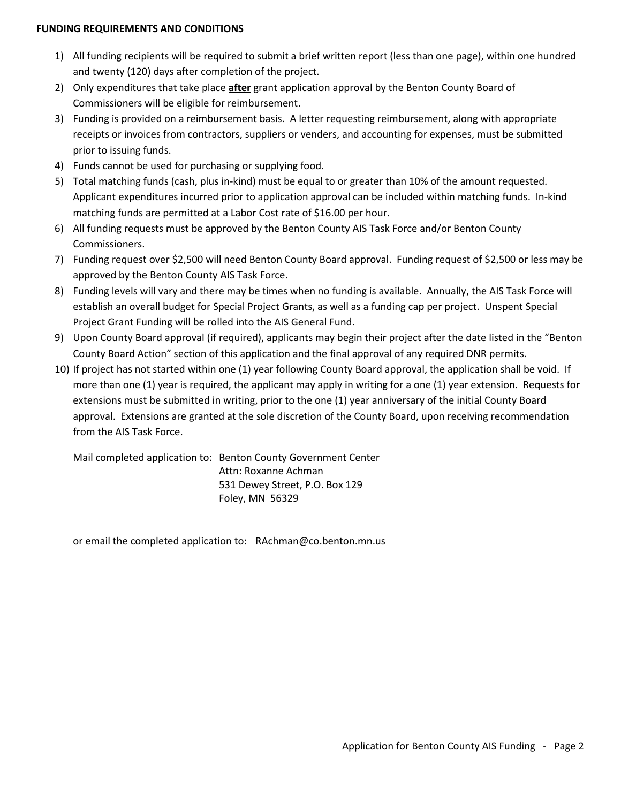## **FUNDING REQUIREMENTS AND CONDITIONS**

- 1) All funding recipients will be required to submit a brief written report (less than one page), within one hundred and twenty (120) days after completion of the project.
- 2) Only expenditures that take place **after** grant application approval by the Benton County Board of Commissioners will be eligible for reimbursement.
- 3) Funding is provided on a reimbursement basis. A letter requesting reimbursement, along with appropriate receipts or invoices from contractors, suppliers or venders, and accounting for expenses, must be submitted prior to issuing funds.
- 4) Funds cannot be used for purchasing or supplying food.
- 5) Total matching funds (cash, plus in-kind) must be equal to or greater than 10% of the amount requested. Applicant expenditures incurred prior to application approval can be included within matching funds. In-kind matching funds are permitted at a Labor Cost rate of \$16.00 per hour.
- 6) All funding requests must be approved by the Benton County AIS Task Force and/or Benton County Commissioners.
- 7) Funding request over \$2,500 will need Benton County Board approval. Funding request of \$2,500 or less may be approved by the Benton County AIS Task Force.
- 8) Funding levels will vary and there may be times when no funding is available. Annually, the AIS Task Force will establish an overall budget for Special Project Grants, as well as a funding cap per project. Unspent Special Project Grant Funding will be rolled into the AIS General Fund.
- 9) Upon County Board approval (if required), applicants may begin their project after the date listed in the "Benton County Board Action" section of this application and the final approval of any required DNR permits.
- 10) If project has not started within one (1) year following County Board approval, the application shall be void. If more than one (1) year is required, the applicant may apply in writing for a one (1) year extension. Requests for extensions must be submitted in writing, prior to the one (1) year anniversary of the initial County Board approval. Extensions are granted at the sole discretion of the County Board, upon receiving recommendation from the AIS Task Force.

Mail completed application to: Benton County Government Center Attn: Roxanne Achman 531 Dewey Street, P.O. Box 129 Foley, MN 56329

or email the completed application to: RAchman@co.benton.mn.us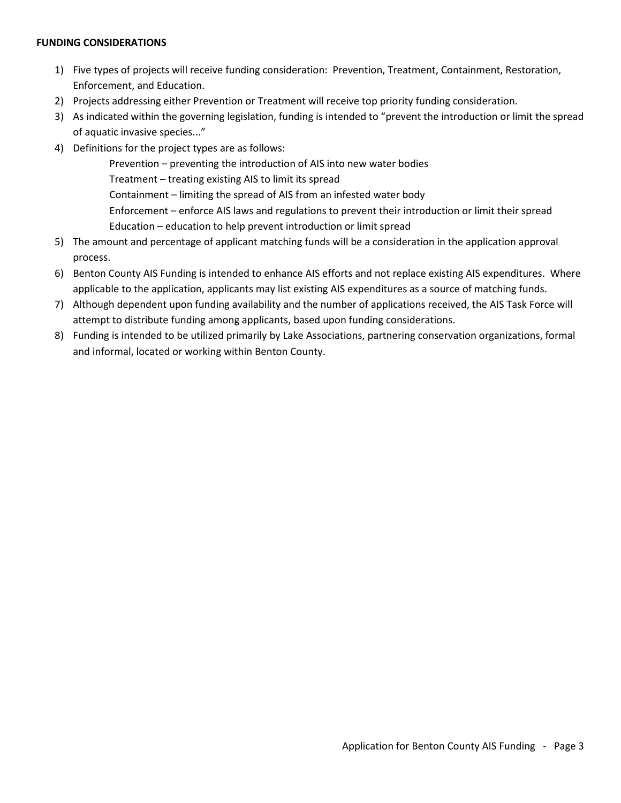## **FUNDING CONSIDERATIONS**

- 1) Five types of projects will receive funding consideration: Prevention, Treatment, Containment, Restoration, Enforcement, and Education.
- 2) Projects addressing either Prevention or Treatment will receive top priority funding consideration.
- 3) As indicated within the governing legislation, funding is intended to "prevent the introduction or limit the spread of aquatic invasive species..."
- 4) Definitions for the project types are as follows:

Prevention – preventing the introduction of AIS into new water bodies

Treatment – treating existing AIS to limit its spread

Containment – limiting the spread of AIS from an infested water body

Enforcement – enforce AIS laws and regulations to prevent their introduction or limit their spread Education – education to help prevent introduction or limit spread

- 5) The amount and percentage of applicant matching funds will be a consideration in the application approval process.
- 6) Benton County AIS Funding is intended to enhance AIS efforts and not replace existing AIS expenditures. Where applicable to the application, applicants may list existing AIS expenditures as a source of matching funds.
- 7) Although dependent upon funding availability and the number of applications received, the AIS Task Force will attempt to distribute funding among applicants, based upon funding considerations.
- 8) Funding is intended to be utilized primarily by Lake Associations, partnering conservation organizations, formal and informal, located or working within Benton County.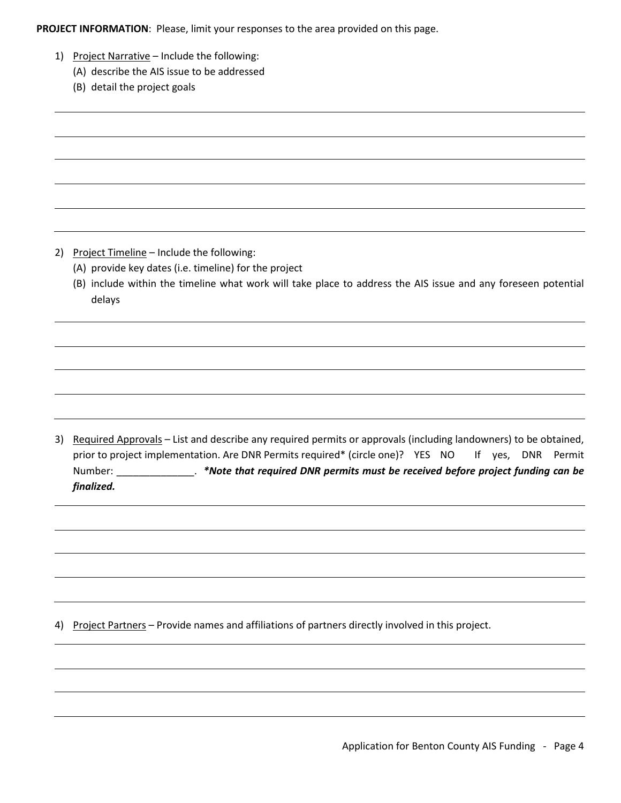**PROJECT INFORMATION**: Please, limit your responses to the area provided on this page.

- 1) Project Narrative Include the following:
	- (A) describe the AIS issue to be addressed
	- (B) detail the project goals

- 2) Project Timeline Include the following:
	- (A) provide key dates (i.e. timeline) for the project
	- (B) include within the timeline what work will take place to address the AIS issue and any foreseen potential delays

3) Required Approvals - List and describe any required permits or approvals (including landowners) to be obtained, prior to project implementation. Are DNR Permits required\* (circle one)? YES NO If yes, DNR Permit Number: \_\_\_\_\_\_\_\_\_\_\_\_\_\_. *\*Note that required DNR permits must be received before project funding can be finalized.*

4) Project Partners - Provide names and affiliations of partners directly involved in this project.